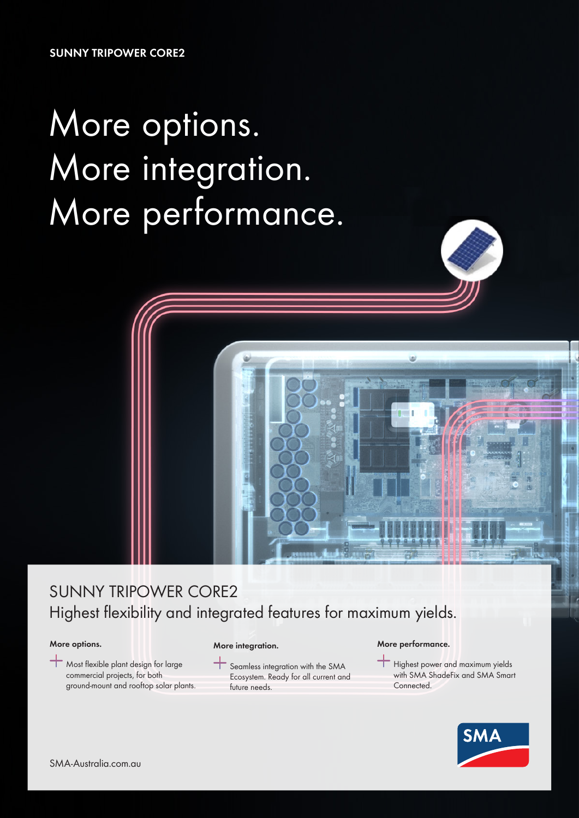**SUNNY TRIPOWER CORE2**

# More options. More integration. More performance.



#### **More options.**

Most flexible plant design for large commercial projects, for both ground-mount and rooftop solar plants.

#### **More integration.**

Seamless integration with the SMA Ecosystem. Ready for all current and future needs.

#### **More performance.**

**Highest power and maximum yields** with SMA ShadeFix and SMA Smart Connected.